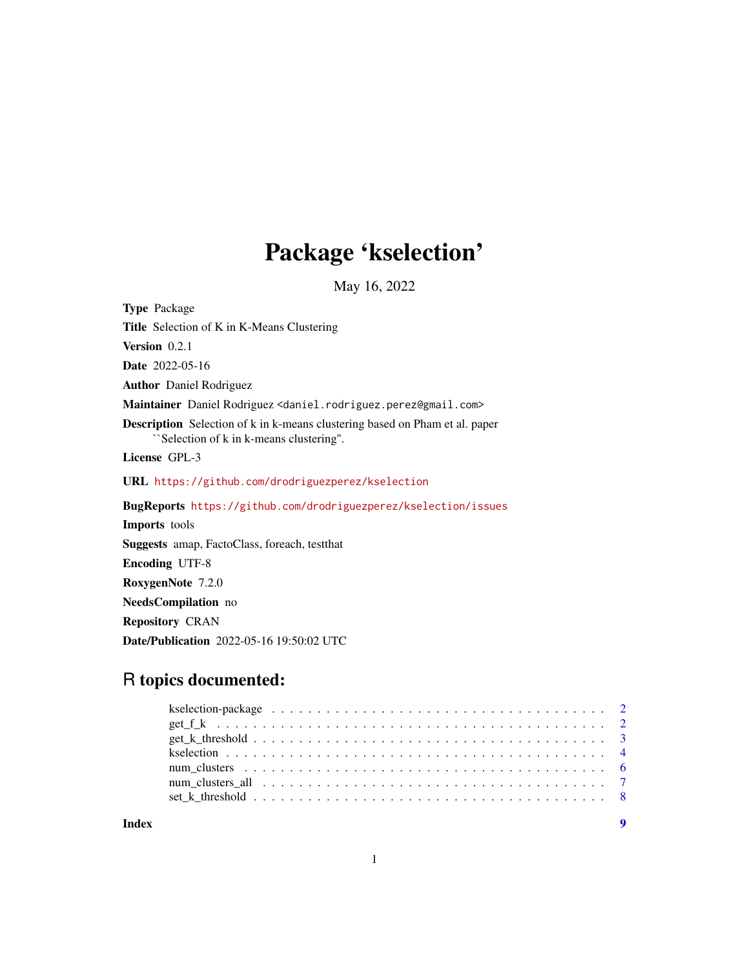## Package 'kselection'

May 16, 2022

Type Package Title Selection of K in K-Means Clustering Version 0.2.1 Date 2022-05-16 Author Daniel Rodriguez Maintainer Daniel Rodriguez <daniel.rodriguez.perez@gmail.com> Description Selection of k in k-means clustering based on Pham et al. paper ``Selection of k in k-means clustering''. License GPL-3 URL <https://github.com/drodriguezperez/kselection> BugReports <https://github.com/drodriguezperez/kselection/issues> Imports tools Suggests amap, FactoClass, foreach, testthat Encoding UTF-8 RoxygenNote 7.2.0 NeedsCompilation no

Repository CRAN

Date/Publication 2022-05-16 19:50:02 UTC

### R topics documented:

| num clusters all $\ldots \ldots \ldots \ldots \ldots \ldots \ldots \ldots \ldots \ldots \ldots \ldots$ |  |  |  |  |  |  |  |  |  |  |  |  |  |  |  |  |  |
|--------------------------------------------------------------------------------------------------------|--|--|--|--|--|--|--|--|--|--|--|--|--|--|--|--|--|
|                                                                                                        |  |  |  |  |  |  |  |  |  |  |  |  |  |  |  |  |  |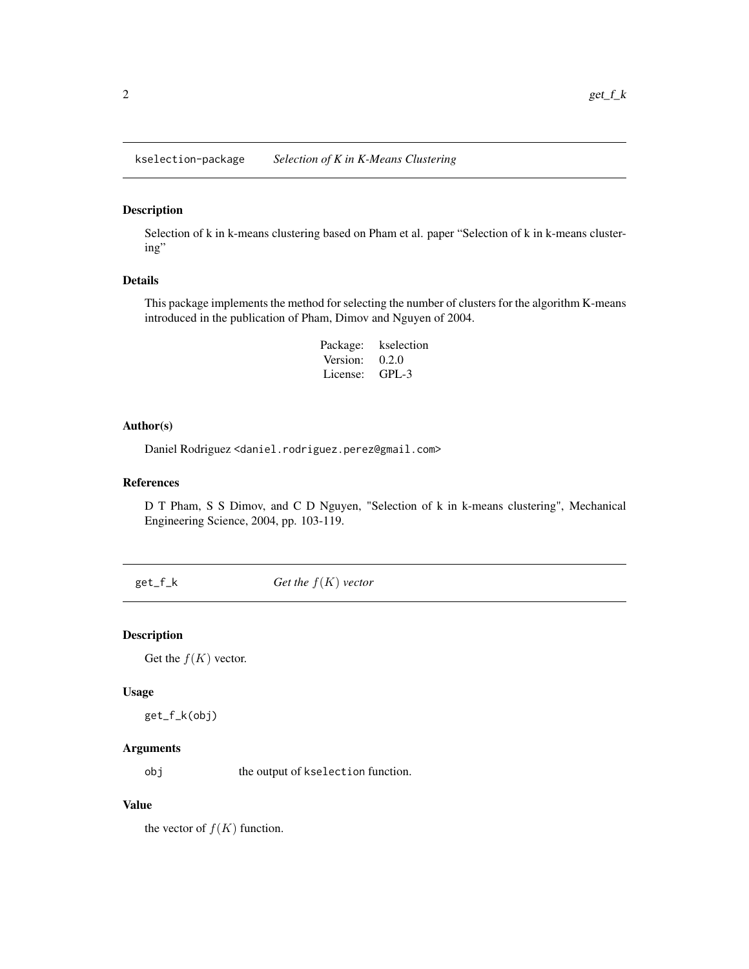<span id="page-1-0"></span>kselection-package *Selection of K in K-Means Clustering*

#### Description

Selection of k in k-means clustering based on Pham et al. paper "Selection of k in k-means clustering"

#### Details

This package implements the method for selecting the number of clusters for the algorithm K-means introduced in the publication of Pham, Dimov and Nguyen of 2004.

> Package: kselection Version: 0.2.0 License: GPL-3

#### Author(s)

Daniel Rodriguez <daniel.rodriguez.perez@gmail.com>

#### References

D T Pham, S S Dimov, and C D Nguyen, "Selection of k in k-means clustering", Mechanical Engineering Science, 2004, pp. 103-119.

<span id="page-1-1"></span>get\_f\_k *Get the* f(K) *vector*

#### Description

Get the  $f(K)$  vector.

#### Usage

get\_f\_k(obj)

#### Arguments

obj the output of kselection function.

#### Value

the vector of  $f(K)$  function.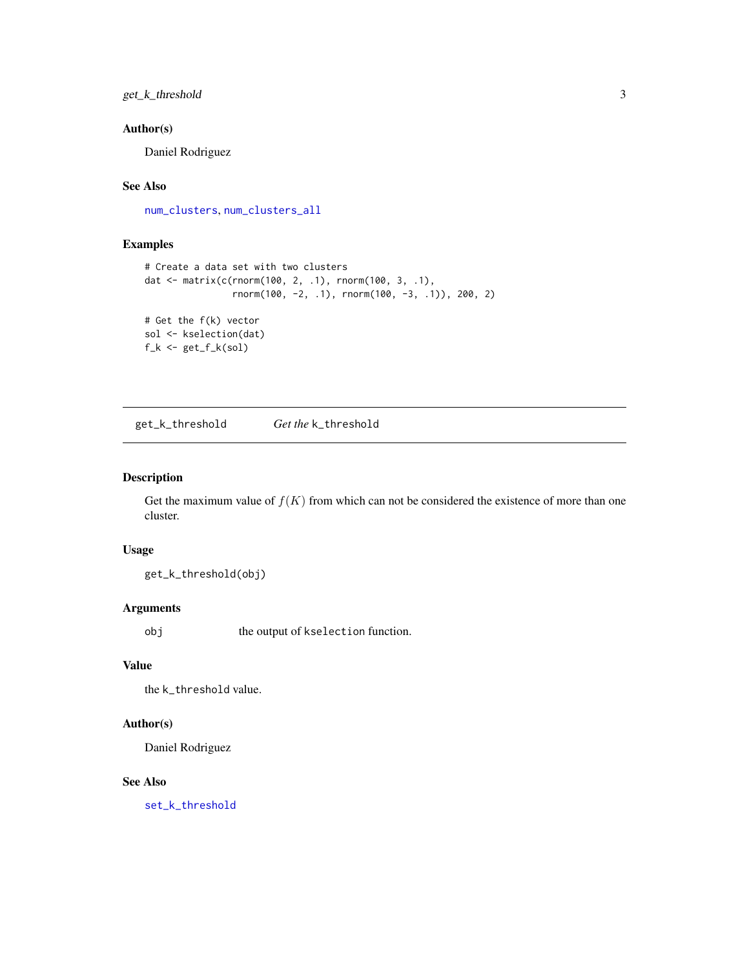#### <span id="page-2-0"></span>get\_k\_threshold 3

#### Author(s)

Daniel Rodriguez

#### See Also

[num\\_clusters](#page-5-1), [num\\_clusters\\_all](#page-6-1)

#### Examples

```
# Create a data set with two clusters
dat <- matrix(c(rnorm(100, 2, .1), rnorm(100, 3, .1),
                rnorm(100, -2, .1), rnorm(100, -3, .1)), 200, 2)
# Get the f(k) vector
sol <- kselection(dat)
f_k \leftarrow get_f_k(sol)
```
<span id="page-2-1"></span>get\_k\_threshold *Get the* k\_threshold

#### Description

Get the maximum value of  $f(K)$  from which can not be considered the existence of more than one cluster.

#### Usage

get\_k\_threshold(obj)

#### Arguments

obj the output of kselection function.

#### Value

the k\_threshold value.

#### Author(s)

Daniel Rodriguez

#### See Also

[set\\_k\\_threshold](#page-7-1)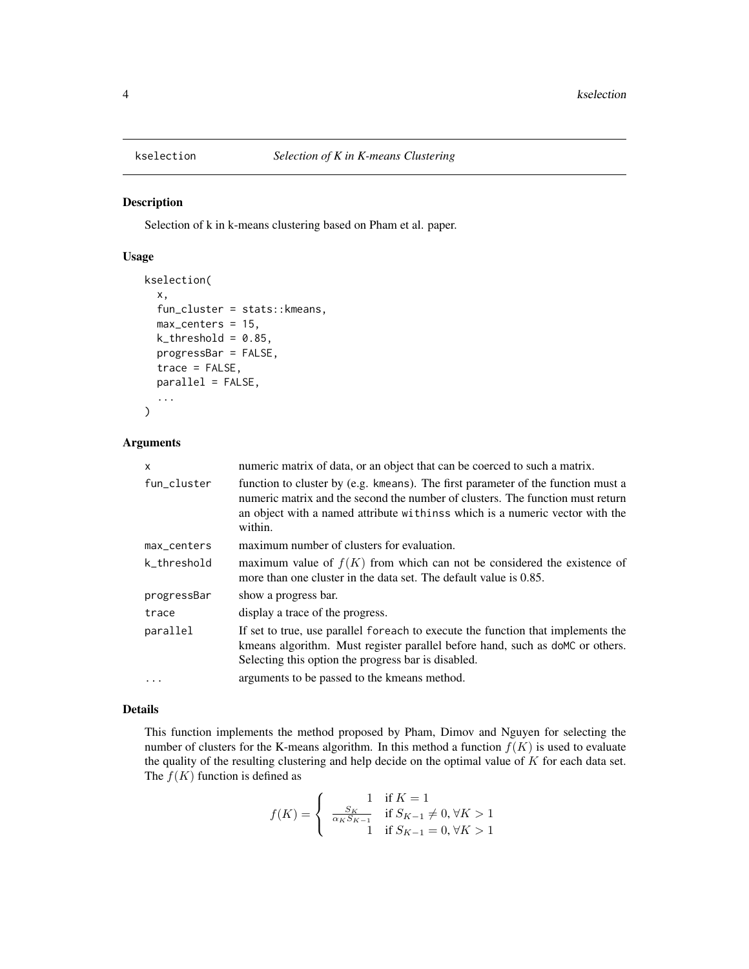<span id="page-3-0"></span>

#### Description

Selection of k in k-means clustering based on Pham et al. paper.

#### Usage

```
kselection(
  x,
  fun_cluster = stats::kmeans,
 max_centers = 15,
 k_{\text{threshold}} = 0.85,
 progressBar = FALSE,
  trace = FALSE,parallel = FALSE,
  ...
)
```
#### Arguments

| X           | numeric matrix of data, or an object that can be coerced to such a matrix.                                                                                                                                                                                   |
|-------------|--------------------------------------------------------------------------------------------------------------------------------------------------------------------------------------------------------------------------------------------------------------|
| fun_cluster | function to cluster by (e.g. kmeans). The first parameter of the function must a<br>numeric matrix and the second the number of clusters. The function must return<br>an object with a named attribute withins which is a numeric vector with the<br>within. |
| max_centers | maximum number of clusters for evaluation.                                                                                                                                                                                                                   |
| k threshold | maximum value of $f(K)$ from which can not be considered the existence of<br>more than one cluster in the data set. The default value is 0.85.                                                                                                               |
| progressBar | show a progress bar.                                                                                                                                                                                                                                         |
| trace       | display a trace of the progress.                                                                                                                                                                                                                             |
| parallel    | If set to true, use parallel for each to execute the function that implements the<br>kmeans algorithm. Must register parallel before hand, such as do MC or others.<br>Selecting this option the progress bar is disabled.                                   |
| $\cdots$    | arguments to be passed to the kmeans method.                                                                                                                                                                                                                 |

#### Details

This function implements the method proposed by Pham, Dimov and Nguyen for selecting the number of clusters for the K-means algorithm. In this method a function  $f(K)$  is used to evaluate the quality of the resulting clustering and help decide on the optimal value of  $K$  for each data set. The  $f(K)$  function is defined as

$$
f(K) = \begin{cases} 1 & \text{if } K = 1 \\ \frac{S_K}{\alpha_K S_{K-1}} & \text{if } S_{K-1} \neq 0, \forall K > 1 \\ 1 & \text{if } S_{K-1} = 0, \forall K > 1 \end{cases}
$$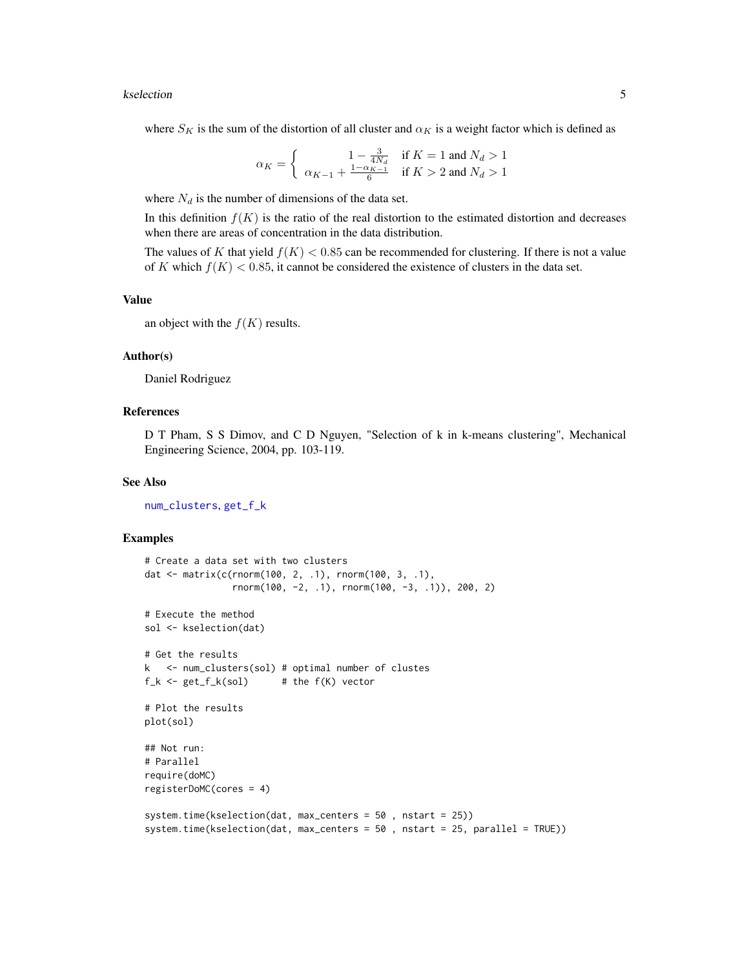#### <span id="page-4-0"></span>kselection 5

where  $S_K$  is the sum of the distortion of all cluster and  $\alpha_K$  is a weight factor which is defined as

$$
\alpha_K = \begin{cases} 1 - \frac{3}{4N_d} & \text{if } K = 1 \text{ and } N_d > 1\\ \alpha_{K-1} + \frac{1 - \alpha_{K-1}}{6} & \text{if } K > 2 \text{ and } N_d > 1 \end{cases}
$$

where  $N_d$  is the number of dimensions of the data set.

In this definition  $f(K)$  is the ratio of the real distortion to the estimated distortion and decreases when there are areas of concentration in the data distribution.

The values of K that yield  $f(K) < 0.85$  can be recommended for clustering. If there is not a value of K which  $f(K) < 0.85$ , it cannot be considered the existence of clusters in the data set.

#### Value

an object with the  $f(K)$  results.

#### Author(s)

Daniel Rodriguez

#### References

D T Pham, S S Dimov, and C D Nguyen, "Selection of k in k-means clustering", Mechanical Engineering Science, 2004, pp. 103-119.

#### See Also

[num\\_clusters](#page-5-1), [get\\_f\\_k](#page-1-1)

#### Examples

```
# Create a data set with two clusters
dat <- matrix(c(rnorm(100, 2, .1), rnorm(100, 3, .1),
                rnorm(100, -2, .1), rnorm(100, -3, .1)), 200, 2)
# Execute the method
sol <- kselection(dat)
# Get the results
k <- num_clusters(sol) # optimal number of clustes
f_k \leftarrow get_f_k(sol) # the f(K) vector
# Plot the results
plot(sol)
## Not run:
# Parallel
require(doMC)
registerDoMC(cores = 4)
system.time(kselection(dat, max_centers = 50 , nstart = 25))
system.time(kselection(dat, max_centers = 50 , nstart = 25, parallel = TRUE))
```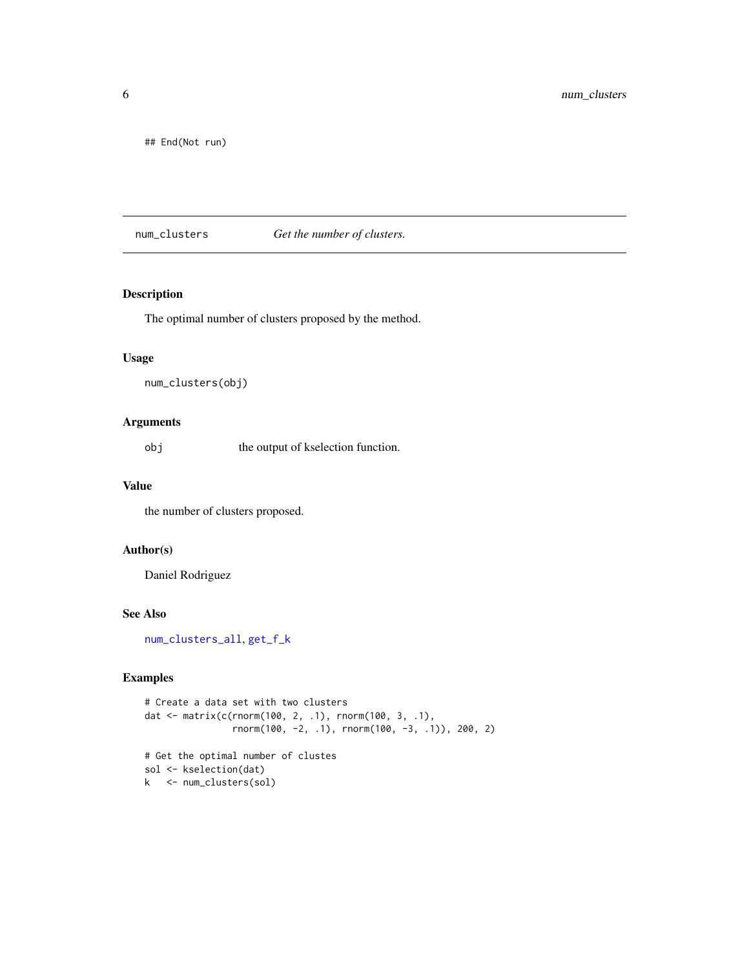<span id="page-5-0"></span>## End(Not run)

<span id="page-5-1"></span>num\_clusters *Get the number of clusters.*

#### Description

The optimal number of clusters proposed by the method.

#### Usage

```
num_clusters(obj)
```
#### Arguments

obj the output of kselection function.

#### Value

the number of clusters proposed.

#### Author(s)

Daniel Rodriguez

#### See Also

[num\\_clusters\\_all](#page-6-1), [get\\_f\\_k](#page-1-1)

#### Examples

```
# Create a data set with two clusters
dat <- matrix(c(rnorm(100, 2, .1), rnorm(100, 3, .1),
                rnorm(100, -2, .1), rnorm(100, -3, .1)), 200, 2)
# Get the optimal number of clustes
sol <- kselection(dat)
k <- num_clusters(sol)
```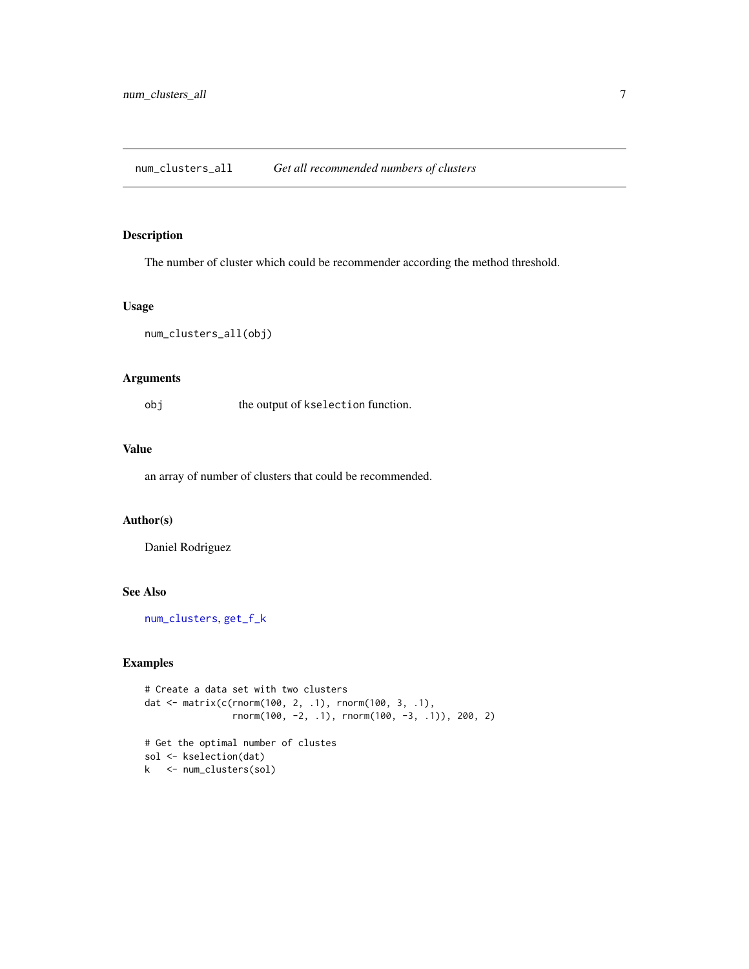<span id="page-6-1"></span><span id="page-6-0"></span>num\_clusters\_all *Get all recommended numbers of clusters*

#### Description

The number of cluster which could be recommender according the method threshold.

#### Usage

```
num_clusters_all(obj)
```
#### Arguments

obj the output of kselection function.

#### Value

an array of number of clusters that could be recommended.

#### Author(s)

Daniel Rodriguez

#### See Also

[num\\_clusters](#page-5-1), [get\\_f\\_k](#page-1-1)

#### Examples

```
# Create a data set with two clusters
dat <- matrix(c(rnorm(100, 2, .1), rnorm(100, 3, .1),
                rnorm(100, -2, .1), rnorm(100, -3, .1)), 200, 2)
# Get the optimal number of clustes
sol <- kselection(dat)
k <- num_clusters(sol)
```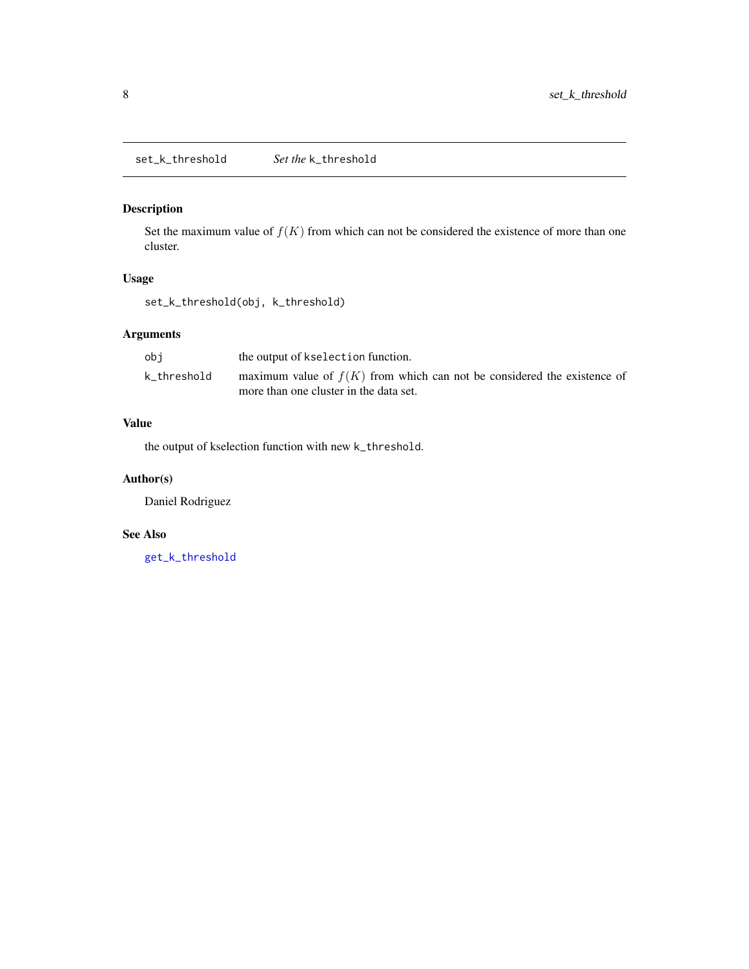#### <span id="page-7-1"></span><span id="page-7-0"></span>Description

Set the maximum value of  $f(K)$  from which can not be considered the existence of more than one cluster.

#### Usage

set\_k\_threshold(obj, k\_threshold)

#### Arguments

| obi         | the output of kselection function.                                        |
|-------------|---------------------------------------------------------------------------|
| k_threshold | maximum value of $f(K)$ from which can not be considered the existence of |
|             | more than one cluster in the data set.                                    |

#### Value

the output of kselection function with new k\_threshold.

#### Author(s)

Daniel Rodriguez

#### See Also

[get\\_k\\_threshold](#page-2-1)